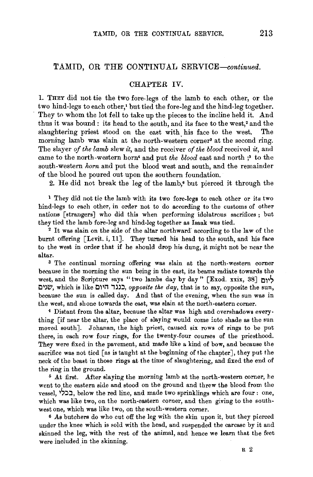## **TAMID, OR THE** CONTINUAL *SERVICE-continued.*

### CHAPTER IV.

I. THEY did not tie the two fore-legs of the Iamb to each other, or the two hind-legs to each other,<sup>1</sup> but tied the fore-leg and the hind-leg together. They to whom the lot fell to take up the pieces to the incline held it. And thus it was bound: its head to the south, and its face to the west,<sup>2</sup> and the slaughtering priest stood on the east with his face to the west. The morning lamb was slain at the north-western corner<sup>3</sup> at the second ring. The slayer *of the lamh* slew *it,* and the receiver *of the blood* received *it,* and came to the north-western horn• and put *the blood* east and north ;• to the south-western *horn* and put the blood west and south, and the remainder of the blood he poured out upon the southern foundation.

2. He did not break the leg of the lamb,• but pierced it through the

<sup>1</sup>They did not tie the lamb with its two fore-legs to each other or its two hind-legs to each other, in order not to do according to the customs of other nations [strangers] who did this when performing idolatrous sacrifices; but they tied the lamb fore-leg and hind-leg together as Isaak was tied. 2 It was slain on the side of the altar northward' according to the law of the

burnt offering [Levit. i, **11].** They turned his head to the south, and his face to the west in order that if he should drop his dung, it might not be near the altar. 3 The continual morning offering was slain at the north-western corner

because in the morning the sun being in the east, its beams radiate towards the west, and the Scripture says "two lambs day by day" [Exod. xxix, 38]  $\cdot$ ליום **Ll')l!',** which is like **C11i1 i)J::l,** *opposite the day,* that is to say, opposite the sun, because the sun is called day. And that of the evening, when the sun was in the west, and shone towards the east, was slain at the north-eastern corner.

4 Distant from the altar, because the altar was high and overshadows everything [if near the altar, the place of slaying would come into shade as the sun moved south]. Johanan, the high priest, caused six rows of rings to be put there, in each row four rings, for the twenty-four courses of the priesthood. They were fixed in the pavement, and made like a kind of bow, and because the sacrifice was not tied [as is taught at the beginning of the chapter], they put the neck of the beast in those rings at the time of slaughtering, and fixed the end of the ring in the ground.

<sup>5</sup> At first. After slaying the morning lamb at the north-western corner, he went to the eastern side and stood on the ground and threw the blood from the vessel, **בכלי**, below the red line, and made two sprinklings which are four : one, which was like two, on the north-eastern corner, and then giving to the southwest one, which was like two, on the south-western corner.

<sup>6</sup> As butchers do who cut off the leg with the skin upon it, but they pierced under the knee which is sold with the head, and suspended the carcase by it and skinned the leg, with the rest of the animal, and hence we learn that the feet were included in the skinning.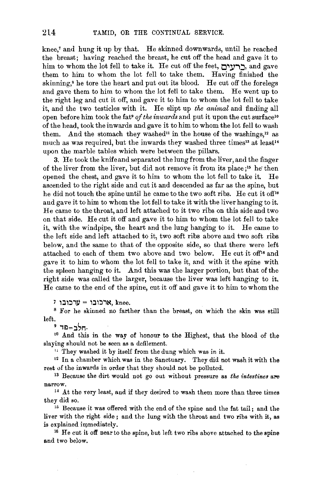knee,<sup> $\tau$ </sup> and hung it up by that. He skinned downwards, until he reached the breast; having reached the breast, he cut off the head and gave it to him to whom the lot fell to take it. He cut off the feet, **לריויר**, and gave them to him to whom the lot fell to take them. Having finished the skinning,<sup>8</sup> he tore the heart and put out its blood. He cut off the forelegs and gave them to him to whom the lot fell to take them. He went up to the right leg and cut it off, and gave it to him to whom the lot fell to take it, and the two testicles with it. He slipt up *the animal* and finding all open before him took the fat<sup>®</sup> of the inwards and put it upon the cut surface<sup>10</sup> of the head, took the inwards and gave it to him to whom the lot fell to wash them. And the stomach they washed<sup>11</sup> in the house of the washings,<sup>12</sup> as much as was required, but the inwards they washed three times<sup>13</sup> at least<sup>14</sup> upon the marble tables which were between the pillars.

3. He took the knife and separated the lung from the liver, and the finger of the liver from the liver, but did not remove it from its place;<sup>15</sup> he then opened the chest, and gave it to him to whom the lot fell to take it. He ascended to the right side and cut it and descended as far as the spine, but he did not touch the spine until he came to the two soft ribs. He cut it off<sup>16</sup> and gave it to him to whom the lot fell to take it with the liver hanging to it. He came to the throat, and left attached to it two ribs on this side and two on that side. He cut it off and gave it to him to whom the lot fell to take it, with the windpipe, the heart and the lung hanging to it. He came to the left side and left attached to it, two soft ribs above and two soft ribs below, and the same to that of the opposite side, so that there were left attached to each of them two above and two below. He cut it off<sup>16</sup> and gave it to him to whom the lot fell to take it, and with it the spine with the spleen hanging to it. And this was the larger portion, but that of the right side was called the larger, because the liver was left hanging to it. He came to the end of the spine, cut it off and gave it to him to whom the

 $7$  'ארכובו $\mathbf{r}$ ' = ' $\mathbf{r}$ ' knee. 8 For he skinned no farther than the breast, on which the skin was still  $left.$ 9 הלר=פד $\frac{1}{2}$ 

<sup>10</sup> And this in the way of honour to the Highest, that the blood of the slaying should not be seen as a defilement.

<sup>11</sup> They washed it by itself from the dung which was in it.<br><sup>12</sup> In a chamber which was in the Sanctuary. They did not wash it with the rest of the inwards in order that they should not be polluted.<br><sup>13</sup> Because the dirt would not go out without pressure as *the intestines* are

narrow. 14 At the very least, and if they desired to wash them more than three times

they did so.

<sup>15</sup> Because it was offered with the end of the spine and the fat tail; and the liver with the right side ; and the lung with the throat and two ribs with it, as is explained in mediately.<br><sup>16</sup> He cut it off near to the spine, but left two ribs above attached to the spine

and two below.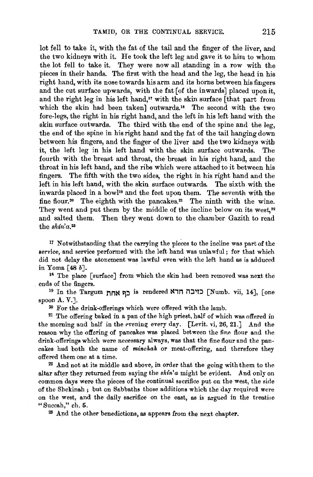lot fell to take it, with the fat of the tail and the finger of the liver, and the two kidneys with it. He took the left leg and gave it to him to whom the lot fell to take it. They were now all standing in a row with the pieces in their hands. The first with the head and the leg, the head in his right hand, with its nose towards his arm and its horns between his fingers and the cut surface upwards, with the fat [of the inwards) placed upon it, and the right leg in his left hand," with the skin surface [that part from which the skin had been taken] outwards.<sup>18</sup> The second with the two fore-legs, the right in his right hand, and the left in his left hand with the skin surface outwards. The third with the end of the spine and the leg, the end of the spine in his right hand and the fat of the tail hanging down between his fingers, and the finger of the liver and the two kidneys with it, the left leg in his left hand with the skin surface outwards. The fourth with the breast and throat, the breast in his right hand, and the throat in his left hand, and the ribs which were attached to it between his fingers. The fifth with the two sides, the right in his right hand and the left in his left hand, with the skin surface outwards. The sixth with the inwards placed in a bowl<sup>19</sup> and the feet upon them. The seventh with the fine flour.<sup>20</sup> The eighth with the pancakes.<sup>21</sup> The ninth with the wine. They went and put them by the middle of the incline below on its west, $2^2$ and salted them. Then they went down to the chamber Gazith to read the *shin'a. <sup>23</sup>*

17 Notwithstanding that the carrying the pieoos to the incline was part of the service, and service performed with the left hand was unlawful; for that which did not delay the atonement was lawful even with the left hand as is adduced in Yoma [48 b].

18 The place [surface] from which the skin had been removed was next the ends of the fingers.<br><sup>19</sup> In the Targum **בון אחר** is rendered **ווא c**it **zives**  $\sum_{i=1}^{19}$  [Numb. vii, 14], [one

spoon A. V.].

 $20$  For the drink-offerings which were offered with the lamb.<br><sup>21</sup> The offering baked in a pan of the high priest, half of which was offered in the morning and half in the evening every day. [Levit. vi, 26, 21.] And the reason why the offering of pancakes was placed between the fine flour and the drink-offerings which were necessary always, was that the fine flour and the pancakes bud both the name of *minchak* or meat-offering, and therefore they % offered them one at a time.<br><sup>22</sup> And not at its middle and above, in order that the going with them to the

altar after they returned from saying the *shin'a* might be evident. And only on common days were the pieces of the continual sacrifice put on the west, the side of the Shekinah ; but on Sabbaths those additions which the day required were on the west, and the daily sacrifice on the east, as is argued in the treatise "Succah," ch. 5.  $\frac{23}{100}$  And the other benedictions, as appears from the next chapter.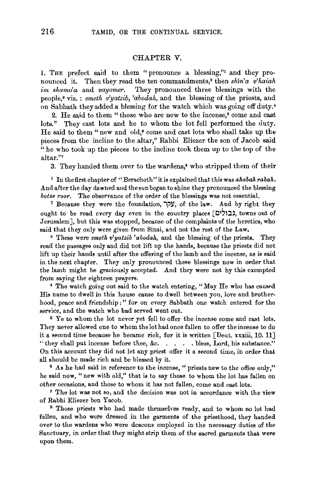# CHAPTER V.

l. THE prefect said to them "pronounce a blessing,"1 and they pronounced it. Then they read the ten commandments; then *shin'a v'haiah*  im shamo'a and *vayomer*. They pronounced three blessings with the people,• viz. : *emeth v'yatzib, 'abodah,* and the blessing of the priests, and on Sabbath they added a blessing for the watch which was going off duty.•

2. He said to them "those who are new to the incense,• come and cast lots." They cast lots and he to whom the lot fell performed the duty. He said to them "new and old,• come and cast lots who shall take up the pieces from the incline to the altar," Rabbi Eliezer the son of Jacob said  $\hat{f}$  he who took up the pieces to the incline took them up to the top of the altar."'

3. They handed them over to the wardens,• who stripped them of their

<sup>1</sup> In the first chapter of "Berachoth" it is explained that this was *ahabah rabah.* And after the day dawned and the sun began to shine they pronounced the blessing *botze roor.* The observance of the order of the blessings was not essential.<br><sup>2</sup> Because they were the foundation, y μ, of the law. And by right they

ought to be read every day even in the country places [כולים], towns out of Jerusalem], but this was stopped, because of the complaints of the heretics, who said that they only were given from Sinai, and not the rest of the Law, 3 These were *emetk v'yatzib 'abodak,* and the blessing of the priests. They

read the passages only and did not lift up the hands, because the priests did not lift up their hands until after the offering of the lamb and the incense, as is said in the next chapter. They only pronounced these blessings now in order that the lamb might be graciously accepted. And they were not by this exempted from saying the eighteen prayers.<br>4 The watch going out said to the watch entering, "May He who has caused

His name to dwell in this house cause to dwell between you, love and brotherhood, peace and friendship :" for on every Sabbath one watch entered for the service, and the watch who had served went out.<br><sup>6</sup> Ye to whom the lot never yet fell to offer the incense come and cast lots.

They never allowed one to whom thelothadonce fallen to offer the incense to do it a second time because he became rich, for it is written [Deut. xxxiii, 10. 11] "they shall put incense before thee, &c. . . . . bless, Lord, his substance." On this account they did not let any priest offer it a second time, in order that all should be made rich and be blessed by it. 6 As he had said in reference to the incense, "priests new to the office only,"

he said now, "new with old," that is to say those to whom the lot has fallen on other occasions, and those to w horn it has not fallen, come and cast lots.

<sup>1</sup>The lot was not so, and the decision was not in accordance with the view of Rabbi Eliezer ben Yacob.<br>8 Those priests who had made themselves ready, and to whom no lot had

fallen, and who were dressed in the garments of the priesthood, they handed over to the wardens who were deacons employed in the necessary duties of the Sanctuary, in order that they might strip them of the sacred garments that were upon them.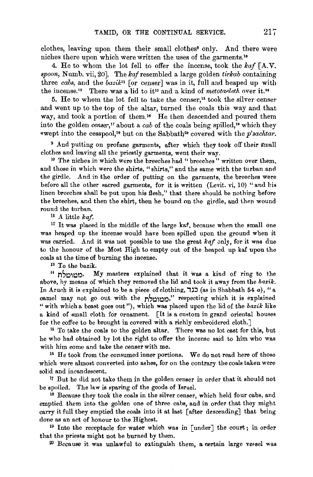clothes, leaving upon them their small clothes<sup>9</sup> only. And there were niches there upon which were written the uses of the garments.'•

4. He to whom the lot fell to offer the incense, took the *kaf* [A.V. *spoon,* Numb. vii, 20]. The lc~f resembled a large golden *tirlcab* containing three *cabs*, and the *bazik*<sup>11</sup> [or censer] was in it, full and heaped up with the incense.<sup>12</sup> There was a lid to it<sup>13</sup> and a kind of *metotaeleth* over it.<sup>14</sup>

5. He to whom the lot fell to take the censer,15 took the silver censer and went up to the top of the altar, turned the coals this way and that way, and took a portion of them.<sup>16</sup> He then descended and poured them into the golden *censer,"* about a *cab* of the coals being spilled," which they wept into the cesspool,<sup>19</sup> but on the Sabbath<sup>20</sup> covered with the *p'sachtar*.

 $9$  And putting on profane garments, after which they took off their small clothes and leaving all the priestly garments, went their way.<br><sup>10</sup> The niches in which were the breeches had "breeches" written over them,

and those in which were the shirts, "shirts," and the same with the turban and the girdle. And in the order of putting on the garments, the breeches were before all the other sacred garments, for it is written (Levit. vi, 10) " and his linen breeches shall be put upon his flesh," that there should he nothing before the breeches, and then the shirt, then he bound on the girdle, and then wound round the turban. 11 A little *kaf.* 

<sup>12</sup> It was placed in the middle of the large kaf, because when the small one was heaped up the incense would have been spilled upon the ground when it was carried. And it was not possible to use the great *kaf* only, for it was due to the honour of the Most High to empty out of the heaped up kaf upon the coals at the time of burning the incense.<br><sup>13</sup> To the bazik.<br><sup>14</sup> <u>ח</u>~י My masters explained that it was a kind of ring to the

above, by means of which they removed the lid and took it away from the *bazik.*  In Aruch it is explained to be a piece of clothing,  $\Box$  (as in Shabbath 54 a), "a camel may not go out with the ממומלת respecting which it is explained "with which a beast goes out"), which was placed upon the lid of the *bazik* like a kind of small cloth for ornament. [It is a custom in grand oriental houses for the coffee to be brought in covered with a richly embroidered cloth.] 15 To take the coals to the golden altar. There was no lot cast for this, but

he who had obtained by lot the right to offer the incense said to him who was with him come and take the censer with me.<br><sup>16</sup> He took from the consumed inner portions. We do not read here of those

which were almost converted into ashes, for on the contrary the coals taken were solid and incandescent.<br><sup>17</sup> But he did not take them in the golden censer in order that it should not

be spoiled. The law is sparing of the goods of Israel.<br><sup>18</sup> Because they took the coals in the silver censer, which held four cabs, and

emptied them into the golden one of three cabs, and in order that they might carry it full they emptied the coals into it at last [after descending] that being done as an act of honour to the Highest.<br><sup>19</sup> Into the receptacle for water which was in  $\lceil$ under $\rceil$  the court; in order

that the priests might not be burned by them.

 $20$  Because it was unlawful to extinguish them, a certain large versel was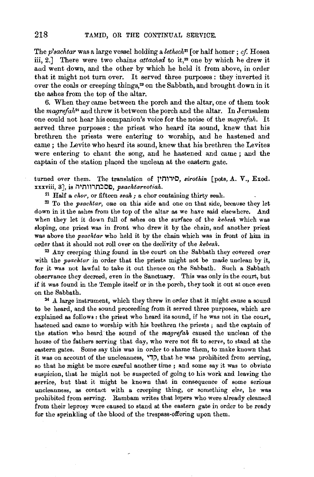The *p*'sachtar was a large vessel holding a lethech<sup>n</sup> [or half homer; *cf.* Hosea iii, 2.] There were two chains *attached* to it,<sup>22</sup> one by which he drew it aud went down, and the other by which he held it from above, in order that it might not turn over. It served three purposes : they inverted it over the coals or creeping things,<sup>23</sup> on the Sabbath, and brought down in it the ashes from the top of the altar.

6. When they came between the porch and the altar, one of them took the *magrejah24* and threw it between the porch and the altar. In Jerusalem one could not hear his companion's voice for the noise of the *magrefah.* It served three purposes : the priest who heard its sound, knew that his brethren the priests were entering to worship, and he hastened and came; the Levite who heard its sound, knew that his brethren the Levites were entering to chant the song, and he hastened and came ; and the captain of the station placed the unclean at the eastern gate.

turned over them. The translation of <sup>1</sup>/<sub>D</sub>, *sirothin* [pots, A. V., Exod.] xxxviii, 3], is **i1<sup>1</sup>nl\,n::lO£l,** *psachta.rvotiah.* 

<sup>21</sup> Half a *chor*, or fifteen *seah*; a chor containing thirty seah.<br><sup>22</sup> To the *psachtar*, one on this side and one on that side, because they let down in it the ashes from the top of the altar as we have said elsewhere. And when they let it down full of ashes on the surface of the *kebesh* which was sloping, one priest was in front who drew it by the chain, and another priest was above the *psachtar* who held it by the chain which was in front of him in order that it should not roll over on the declivity of the *kebesh.* 

 $23$  Any creeping thing found in the court on the Sabbath they covered over with the *psachtar* in order that the priests might not be made unclean by it, for it was not lawful to take it out thence on the Sabbath. Such a Sabbath observance they decreed, even in the Sanctuary. This was only in the court, but if it was found in the Temple itself or in the porch, they took it out at once even on the Sabbath.<br><sup>24</sup> *A* large instrument, which they threw in order that it might cause a sound

to be heard, and the sound proceeding from it served three purposes, which are explained as follows : the priest who heard its sound, if he was not in the court, hastened and came to worship with his brethren the priests ; and the captain of the station who heard the sound of the *magrefah* caused the unclean of the house of the fathers serving that day, who were not fit to serve, to stand at the eastern gates. Some say this was in order to shame them, to make known that it was on account of the uncleanness, קדי, that he was prohibited from serving, so that he might be more careful another time ; and some say it was to obviate suspicion, that he might not be suspected of going to his work and leaving the service, but that it might be known that in consequence of some serious uncleanness, as contact with a creeping thing, or something else, he was prohibited from serving. Rambam writes that lepers who were already cleansed from their leprosy were caused to stand at the eastern gate in order to be ready for the sprinkling of the blood of the trespass·offering upon them.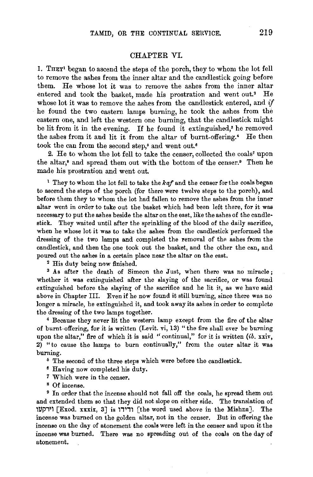## CHAPTER VI.

1. THEY1 began to ascend the steps of the porch, they to whom the lot fell to remove the ashes from the inner altar and the candlestick going before them. He whose lot it was to remove the ashes from the inner altar entered and took the basket, made his prostration and went out.<sup>2</sup> He whose lot it was to remove the ashes from the candlestick entered, and  $if$ he found the two eastern lamps burning, he took the ashes from the eastern one, and left the western one burning, that the candlestick might be lit from it in the evening. If he found it extinguished,<sup>3</sup> he removed the ashes from it and lit it from the altar of burnt-offering.• He then took the can from the second step,<sup>5</sup> and went out.<sup>6</sup>

2. He to whom the lot fell to take the censer, collected the coals' upon the altar,• and spread them out with the bottom of the censer.• Then he made his prostration and went out.

<sup>1</sup> They to whom the lot fell to take the *kaf* and the censer for the coals began to ascend the steps of the porch (for there were twelve steps to the porch), and before them they to whom the lot had fallen to remove the ashes from the inner altar went in order to take out the basket which had been left there, for it was necessary to put the ashes beside the altar on the east, like the ashes of the candlestick. They waited until after the sprinkling of the blood of the daily sacrifice, when he whose lot it was to take the ashes from the candlestick performed the dressing of the two lamps and completed the removal of the ashes from the candlestick, and then the one took out the basket, and the other the can, and poured out the ashes in a certain place near the altar on the east.<br><sup>2</sup> His duty being now finished.<br><sup>3</sup> As after the death of Simeon the Just, when there was no miracle;

whether it was extinguished after the slaying of the sacrifice, or was found extinguished before the slaying of the sacrifice and he lit it, as we have said above in Chapter III. Even if he now found it still burning, since there was no longer a miracle, he extinguished it, and took away its ashes in order to complete the dressing of the two lamps together. 4 Because they never lit the western lamp except from the fire of the altar

of burnt-offering, for it is written (Levit. vi, 13) "the fire shall ever be burning upon the altar," fire of which it is said "continual," for it is written (ib. xxiv, 2) "to cause the lamps to burn continually," from the outer altar it was burning.<br>
<sup>5</sup> The second of the three steps which were before the candlestick.<br>
<sup>6</sup> Having now completed his duty.

7 Which were in the censer. 8 Of incense. 9 In order that the incense should not fall off the coals, he spread them out and extended them so that they did not slope on either side. The translation of rtli'1'1 [Exod. xxxix, 3] is ,,,,, [the word used above in the Mishna]. The incense was burned on the golden altar, not in the censer. But in offering the incense on the day of atonement the coals were left in the censer and upon it the incense was burned. There was no spreading out of the coals on the day of atonement.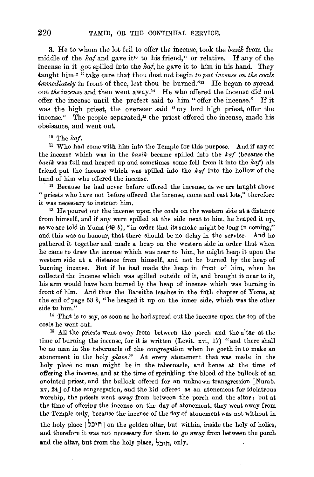3. He to whom the lot fell to offer the incense, took the *bazik* from the middle of the  $kaf$  and gave it<sup>10</sup> to his friend,<sup>11</sup> or relative. If any of the incense in it got spilled into the *kaj,* he gave it to him in his hand. They taught him<sup>12 "</sup> take care that thou dost not begin *to put incense on the coals immediately* in front of thee, lest thou be burned."<sup>13</sup> He began to spread out *the incense* and then went away." He who offered the incense did not offer the incense until the prefect said to him " offer the incense." If it was the high priest, the overseer said "my lord high priest, offer the incense." The people separated,<sup>15</sup> the priest offered the incense, made his obeisance, and went out.

10 The *kaf.* 

<sup>11</sup> Who had come with him into the Temple for this purpose. And if any of the incense which was in the *bazik* became spilled into the *kaf* (because the *bazik* was full and heaped up and sometimes some fell from it into the *kaf)* his friend put the incense which was spilled into the *kaf* into the hollow of the hand of him who offered the incense.<br><sup>12</sup> Because he had never before offered the incense, as we are taught above

"priests who have not before offered the incense, come and cast lots," therefore it was necessary to instruct him. 13 He poured out the incense upon the coals on the western side at a distance

from himself, and if any were spilled at the side next to him, he heaped it up, as we are told in Yoma  $(49 b)$ , "in order that its smoke might be long in coming," and this was an honour, that there should be no delay in the service. And he gathered it together and made a heap on the western side in order that when he came to draw the incense which was near to him, he might heap it upon the western side at a distance from himself, and not be burned by the heap of burning incense. But if he had made the heap in front of him, when he collected the incense which was spilled outside of it, and brought it near to it, his arm would have been burned by the heap of incense which was burning in front of him. And thus the Bareitha teaehes in the fifth chapter of Yoma, at the end of page 53 *b*, "he heaped it up on the inner side, which was the other side to him." 14 That is to say, as soon as he had spread out the incense upon the top of the

coals he went out. 15 All the priests went away from between the porch and the altar at the

time of burning the incense, for it is written (Levit. xvi, 17) "and there shall be no man in the tabernacle of the congregation when he goeth in to make an atonement in the holy *place."* At every atonement that was made in the holy place no man might be in the tabernacle, and hence at the time of offering the incense, and at the time of sprinkling the blood of the bullock of an anointed priest, and the bullock offered for an unknown transgression [Numb. xv, 24] of the congregation, and the kid offered as an atonement for idolatrous worship, the priests went away from between the porch and the altar; but at the time of offering the incense on the day of atonement, they went away from the Temple only, because the incense of the day of atonement was not without in the holy place [היכל] on the golden altar, but within, inside the holy of holies, and therefore it was not necessary for them to go away from between the porch

and the altar, but from the holy place, **S:l'i1•** only.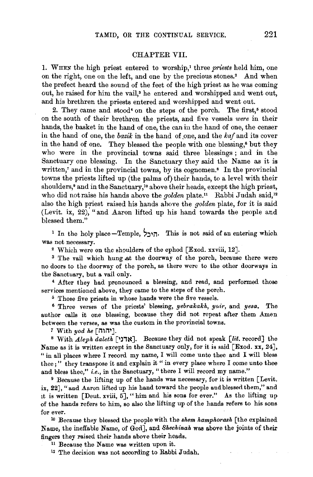#### CHAPTER VII.

1. WHEN the high priest entered to worship,' three *priests* held him, one on the right, one on the left, and one by the precious stones.<sup>2</sup> And when the prefect heard the sound of the feet of the high priest as he was coming out, he raised for him the vail,<sup>3</sup> he entered and worshipped and went out, and his brethren the priests entered and worshipped and went out.

2. They came and stood<sup>4</sup> on the steps of the porch. The first,<sup>5</sup> stood on the south of their brethren the priests, and five vessels *were* in their hands, the basket in the hand of one, the can iu the hand of one, the censer in the hand of one, the *bazik* in the hand of one, and the *kaf* and its cover in the hand of one. They blessed the people with one blessing,• but they who were in the provincial towns said three blessings; and in the Sanctuary one blessing. In the Sanctuary they said the Name as it is written,<sup>7</sup> and in the provincial towns, by its cognomen.<sup>8</sup> In the provincial towns the priests lifted up (the palms of) their hands, to a level with their shoulders,<sup>9</sup> and in the Sanctuary,<sup>10</sup> above their heads, except the high priest, who did not raise his hands above the *golden* plate.<sup>11</sup> Rabbi Judah said,<sup>12</sup> also the high priest raised his hands above the *golden* plate, for it is said (Levit. ix, 22), "and Aaron lifted up his hand towards the people and blessed them."

<sup>1</sup> In the holy place-Temple,  $\tau$ <sub>1</sub>. This is not said of an entering which was not necessary,

<sup>2</sup> Which were on the shoulders of the ephod [Exod. xxviii, 12].  $\delta$  The vail which hung at the doorway of the porch, because there were no doors to the doorway of the porch, as there were to the other doorways in

the Sanctuary, but a vail only.<br>4 After they had pronounced a blessing, and read, and performed those services mentioned above, they came to the steps of the porch. 5 Those five priests in whose hands were the five vessels. 6 Three verses of the priests' blessing, *yebrakakh, yr.ir,* and *yesa.* The

author calls it one blessing, because they did not repeat after them Amen between the verses, as was the custom in the provincial towns.

7 With *yod he* [i1li1'].

8 With *A.leph daleth* ['),~]. Because they did not speak *[lit.* record] the Name as it is written except in the Sanctuary only, for it is said [Exod, xx, 24], " in all places where I record my name, I will come unto thee and I will bless thee;" they transpose it and explain it " in every place where I come unto thee

and bless thee," *i.e.*, in the Sanctuary, "there I will record my name." 9 Because the lifting up of the hands was necessary, for it is written [Levit. ix, 22], "and Aaron lifted up his hand toward the people and blessed them," and it is written  $\lceil$  Deut. xviii, 5 $\rceil$ , "him and his sons for ever." As the lifting up of the hands refers to him, so also the lifting up of the hands refers to his sons for ever.

<sup>10</sup> Because they blessed the people with the *shem hamphorash* [the explained Name, the ineffable Name, of Gorl], and *Sheckinak* was above the joints of their fingers they raised their hands above their heads.

<sup>11</sup> Because the Name was written upon it.<br><sup>12</sup> The decision was not according to Rabbi Judah.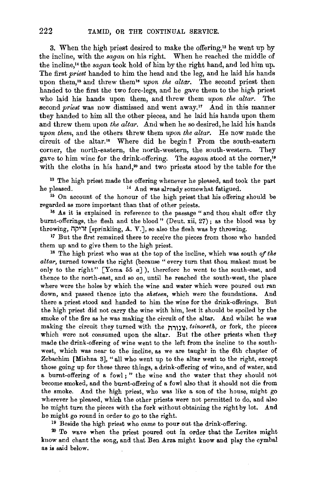3. When the high priest desired to make the offering,'3 he went up by the incline, with the *sagan* on his right. When he reached the middle of the incline,14 the *sagan* took hold of him by the right hand, and led him up. The first *priest* handed to him the head and the leg, and he laid his hands upon them,<sup>15</sup> and threw them<sup>16</sup> upon the altar. The second priest then handed to the first the two fore-legs, and he gave them to the high priest who laid his hands upon them, and threw them *upon the altar.* The second *priest* was now dismissed and went away.<sup>17</sup> And in this manner they handed to him all the other pieces, and he laid his hands upon them and threw them upon the altar. And when he so desired, he laid his hands *upon thern,* and the others threw them *upon the altar.* He now made the circuit of the altar." Where did he begin? From the south-eastern corner, the north-eastern, the north-western, the south-western. They gave to him wine for the drink-offering. The *sagan* stood at the corner,<sup>19</sup> with the cloths in his hand,<sup>20</sup> and two priests stood by the table for the

<sup>13</sup> The high priest made the offering whenever he pleased, and took the part he pleased. 14 And was already somewhat fatigued. 15 On account of the honour of the high priest that his offering should be

regarded as more important than that of other priests.<br><sup>16</sup> As it is explained in reference to the passage " and thou shalt offer thy

burnt-offerings, the flesh and the blood" (Deut. xii, 27) ; as the blood was by throwing, **illing, A. V.**], so also the flesh was by throwing.

<sup>17</sup> But the first remained there to receive the pieces from those who handed them up and to give them to the high priest.<br><sup>18</sup> The high priest who was at the top of the incline, which was south *of the* 

*altar,* turned towards the right (because " every turn that thou makest must be only to the right" [Yoma 55  $a$ ]), therefore he went to the south-east, and thence to the north-east, and so on, until he reached the south-west, the place where were the holes by which the wine and water which were poured out ran down, and passed thence into the *sheteen,* which were the foundations. And there a priest stood and handed to him the wine for the drink-offerings. But the high priest did not carry the wine with him, lest it should be spoiled by the smoke of the fire as he was making the circuit of the altar. And whilst he was making the circuit they turned with the 11111, *tsinoreth*, or fork, the pieces which were not consumed upon the altar. But the other priests when they made the drink-offering of wine went to the left from the incline to the southwest, which was near to the incline, as we are taught in the 6th chapter of Zebachim [Mishna 3], "all who went up to the altar went to the right, except those going up for these three things, a drink-offering of wine, and of water, and a burnt-offering of a fowl; " the wine and the water that they should not become smoked, and the burnt-offering of a fowl also that it should not die from the smoke. And the high priest, who was like a son of the house, might go wherever he pleased, which the other priests were not permitted to do, and also he might turn the pieces with the fork without obtaining the right by lot. And be might go round in order to go to the right. 19 Beside the high priest who came to pour out the drink-offering.

20 To wave when the priest poured out in order that the Levites might know and chant the song, and that Ben Arza might know and play the cymbal as is said below.